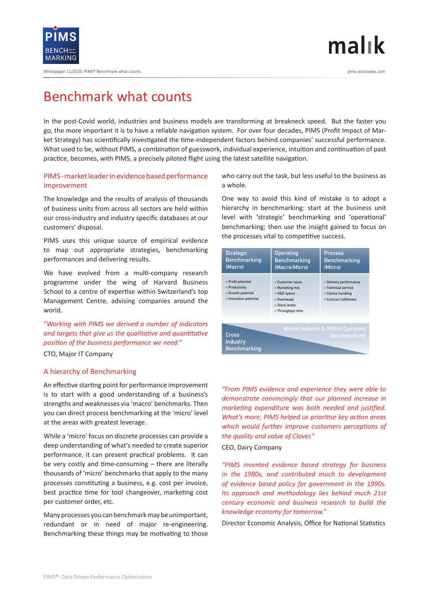

Whitepaper 11/2020: PIMS® Benchmark what counts pims-associates.com

# $m$ alık

### Benchmark what counts

In the post-Covid world, industries and business models are transforming at breakneck speed. But the faster you go, the more important it is to have a reliable navigation system. For over four decades, PIMS (Profit Impact of Market Strategy) has scientifically investigated the time-independent factors behind companies' successful performance. What used to be, without PIMS, a combination of guesswork, individual experience, intuition and continuation of past practice, becomes, with PIMS, a precisely piloted flight using the latest satellite navigation.

#### PIMS - market leader in evidence based performance improvement

The knowledge and the results of analysis of thousands of business units from across all sectors are held within our cross-industry and industry specific databases at our customers' disposal.

PIMS uses this unique source of empirical evidence to map out appropriate strategies, benchmarking performances and delivering results.

We have evolved from a multi-company research programme under the wing of Harvard Business School to a centre of expertise within Switzerland's top Management Centre, advising companies around the world.

*"Working with PIMS we derived a number of indicators and targets that give us the qualitative and quantitative position of the business performance we need."* 

CTO, Major IT Company

#### A hierarchy of Benchmarking

An effective starting point for performance improvement is to start with a good understanding of a business's strengths and weaknesses via 'macro' benchmarks. Then you can direct process benchmarking at the 'micro' level at the areas with greatest leverage.

While a 'micro' focus on discrete processes can provide a deep understanding of what's needed to create superior performance, it can present practical problems. It can be very costly and time-consuming – there are literally thousands of 'micro' benchmarks that apply to the many processes constituting a business, e.g. cost per invoice, best practice time for tool changeover, marketing cost per customer order, etc.

Many processes you can benchmark may be unimportant, redundant or in need of major re-engineering. Benchmarking these things may be motivating to those

who carry out the task, but less useful to the business as a whole.

One way to avoid this kind of mistake is to adopt a hierarchy in benchmarking: start at the business unit level with 'strategic' benchmarking and 'operational' benchmarking; then use the insight gained to focus on the processes vital to competitive success.

| <b>Strategic</b><br><b>Benchmarking</b><br>(Macro)                                   | <b>Operating</b><br><b>Benchmarking</b><br>(Macro/Micro)                                                 | <b>Process</b><br><b>Benchmarking</b><br>(Micro)                                             |
|--------------------------------------------------------------------------------------|----------------------------------------------------------------------------------------------------------|----------------------------------------------------------------------------------------------|
| » Profit potential<br>» Productivity<br>» Growth potential<br>» Innovation potential | » Customer value<br>» Marketing mix<br>» R&D spend<br>» Overheads<br>» Stock Jevels<br>» Throughput time | » Delivery performance<br>» Technical service<br>» Claims handling<br>» Contract fulfillment |
| Cross<br>Industry<br><b>Benchmarking</b>                                             |                                                                                                          | <b>Within Industry &amp; Within Company</b><br><b>Benchmarking</b>                           |

*"From PIMS evidence and experience they were able to demonstrate convincingly that our planned increase in marketing expenditure was both needed and justified. What's more, PIMS helped us prioritise key action areas which would further improve customers perceptions of the quality and value of Clover."* 

#### CEO, Dairy Company

*"PIMS invented evidence based strategy for business in the 1980s, and contributed much to development of evidence based policy for government in the 1990s. Its approach and methodology lies behind much 21st century economic and business research to build the knowledge economy for tomorrow."* 

Director Economic Analysis, Office for National Statistics